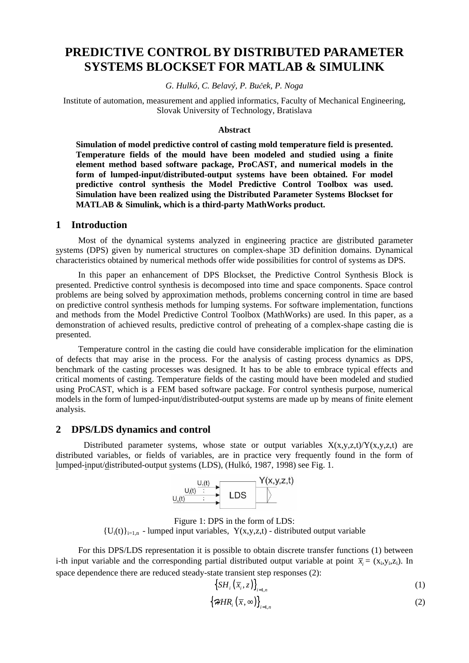# **PREDICTIVE CONTROL BY DISTRIBUTED PARAMETER SYSTEMS BLOCKSET FOR MATLAB & SIMULINK**

### *G. Hulkó, C. Belavý, P. Bu*č*ek, P. Noga*

Institute of automation, measurement and applied informatics, Faculty of Mechanical Engineering, Slovak University of Technology, Bratislava

#### **Abstract**

**Simulation of model predictive control of casting mold temperature field is presented. Temperature fields of the mould have been modeled and studied using a finite element method based software package, ProCAST, and numerical models in the form of lumped-input/distributed-output systems have been obtained. For model predictive control synthesis the Model Predictive Control Toolbox was used. Simulation have been realized using the Distributed Parameter Systems Blockset for MATLAB & Simulink, which is a third-party MathWorks product.**

### **1 Introduction**

Most of the dynamical systems analyzed in engineering practice are distributed parameter systems (DPS) given by numerical structures on complex-shape 3D definition domains. Dynamical characteristics obtained by numerical methods offer wide possibilities for control of systems as DPS.

In this paper an enhancement of DPS Blockset, the Predictive Control Synthesis Block is presented. Predictive control synthesis is decomposed into time and space components. Space control problems are being solved by approximation methods, problems concerning control in time are based on predictive control synthesis methods for lumping systems. For software implementation, functions and methods from the Model Predictive Control Toolbox (MathWorks) are used. In this paper, as a demonstration of achieved results, predictive control of preheating of a complex-shape casting die is presented.

Temperature control in the casting die could have considerable implication for the elimination of defects that may arise in the process. For the analysis of casting process dynamics as DPS, benchmark of the casting processes was designed. It has to be able to embrace typical effects and critical moments of casting. Temperature fields of the casting mould have been modeled and studied using ProCAST, which is a FEM based software package. For control synthesis purpose, numerical models in the form of lumped-input/distributed-output systems are made up by means of finite element analysis.

### **2 DPS/LDS dynamics and control**

Distributed parameter systems, whose state or output variables  $X(x,y,z,t)/Y(x,y,z,t)$  are distributed variables, or fields of variables, are in practice very frequently found in the form of lumped-input/distributed-output systems (LDS), (Hulkó, 1987, 1998) see Fig. 1.



Figure 1: DPS in the form of LDS:  ${U_i(t)}_{i=1,n}$  - lumped input variables,  $Y(x,y,z,t)$  - distributed output variable

For this DPS/LDS representation it is possible to obtain discrete transfer functions (1) between i-th input variable and the corresponding partial distributed output variable at point  $\bar{x}_i = (x_i, y_i, z_i)$ . In space dependence there are reduced steady-state transient step responses (2):

$$
\left\{ SH_i\left(\overline{x}_i, z\right)\right\}_{i=1,n} \tag{1}
$$

$$
\left\{\mathcal{H}H\right\}_{i} \left(\overline{x}, \infty\right)\right\}_{i=1, n} \tag{2}
$$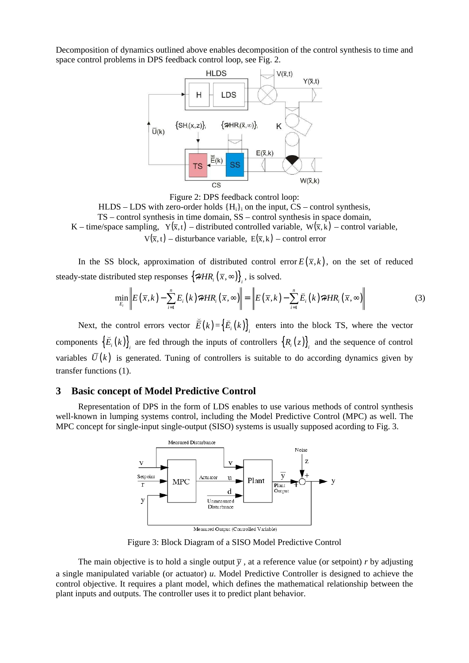Decomposition of dynamics outlined above enables decomposition of the control synthesis to time and space control problems in DPS feedback control loop, see Fig. 2.





In the SS block, approximation of distributed control error  $E(\bar{x}, k)$ , on the set of reduced steady-state distributed step responses  $\left\{\mathcal{H}HR_i\left(\overline{x},\infty\right)\right\}_i$ , is solved.

$$
\min_{E_i} \left\| E(\overline{x}, k) - \sum_{i=1}^n E_i(k) \mathcal{H} R_i(\overline{x}, \infty) \right\| = \left\| E(\overline{x}, k) - \sum_{i=1}^n \overline{E}_i(k) \mathcal{H} R_i(\overline{x}, \infty) \right\|
$$
\n(3)

Next, the control errors vector  $\overline{E}(k)$  $=\left\{ E_{i}(k)\right\} _{i}$  enters into the block TS, where the vector components  $\{E_i(k)\}\$ <sub>i</sub> are fed through the inputs of controllers  $\{R_i(z)\}\$ <sub>i</sub> and the sequence of control ⌣ variables  $\overline{U}(k)$  is generated. Tuning of controllers is suitable to do according dynamics given by transfer functions (1).

### **3 Basic concept of Model Predictive Control**

Representation of DPS in the form of LDS enables to use various methods of control synthesis well-known in lumping systems control, including the Model Predictive Control (MPC) as well. The MPC concept for single-input single-output (SISO) systems is usually supposed acording to Fig. 3.



Figure 3: Block Diagram of a SISO Model Predictive Control

The main objective is to hold a single output  $\overline{y}$ , at a reference value (or setpoint) *r* by adjusting a single manipulated variable (or actuator) *u*. Model Predictive Controller is designed to achieve the control objective. It requires a plant model, which defines the mathematical relationship between the plant inputs and outputs. The controller uses it to predict plant behavior.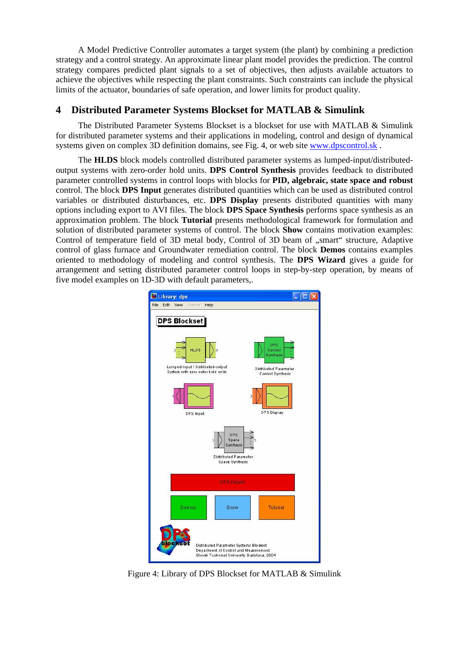A Model Predictive Controller automates a target system (the plant) by combining a prediction strategy and a control strategy. An approximate linear plant model provides the prediction. The control strategy compares predicted plant signals to a set of objectives, then adjusts available actuators to achieve the objectives while respecting the plant constraints. Such constraints can include the physical limits of the actuator, boundaries of safe operation, and lower limits for product quality.

## **4 Distributed Parameter Systems Blockset for MATLAB & Simulink**

The Distributed Parameter Systems Blockset is a blockset for use with MATLAB & Simulink for distributed parameter systems and their applications in modeling, control and design of dynamical systems given on complex 3D definition domains, see Fig. 4, or web site www.dpscontrol.sk .

The **HLDS** block models controlled distributed parameter systems as lumped-input/distributedoutput systems with zero-order hold units. **DPS Control Synthesis** provides feedback to distributed parameter controlled systems in control loops with blocks for **PID, algebraic, state space and robust** control. The block **DPS Input** generates distributed quantities which can be used as distributed control variables or distributed disturbances, etc. **DPS Display** presents distributed quantities with many options including export to AVI files. The block **DPS Space Synthesis** performs space synthesis as an approximation problem. The block **Tutorial** presents methodological framework for formulation and solution of distributed parameter systems of control. The block **Show** contains motivation examples: Control of temperature field of 3D metal body, Control of 3D beam of "smart" structure, Adaptive control of glass furnace and Groundwater remediation control. The block **Demos** contains examples oriented to methodology of modeling and control synthesis. The **DPS Wizard** gives a guide for arrangement and setting distributed parameter control loops in step-by-step operation, by means of five model examples on 1D-3D with default parameters,.



Figure 4: Library of DPS Blockset for MATLAB & Simulink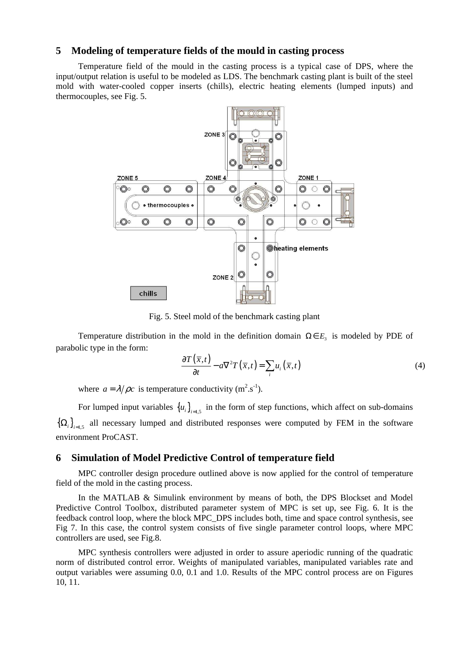### **5 Modeling of temperature fields of the mould in casting process**

Temperature field of the mould in the casting process is a typical case of DPS, where the input/output relation is useful to be modeled as LDS. The benchmark casting plant is built of the steel mold with water-cooled copper inserts (chills), electric heating elements (lumped inputs) and thermocouples, see Fig. 5.



Fig. 5. Steel mold of the benchmark casting plant

Temperature distribution in the mold in the definition domain  $\Omega \in E_3$  is modeled by PDE of parabolic type in the form:

$$
\frac{\partial T(\overline{x},t)}{\partial t} - a\nabla^2 T(\overline{x},t) = \sum_i u_i(\overline{x},t)
$$
\n(4)

where  $a = \lambda/\rho c$  is temperature conductivity (m<sup>2</sup>.s<sup>-1</sup>).

For lumped input variables  ${u_i}_{i=1,5}$  in the form of step functions, which affect on sub-domains  ${\Omega_i}_{i=1,5}$  all necessary lumped and distributed responses were computed by FEM in the software environment ProCAST.

### **6 Simulation of Model Predictive Control of temperature field**

MPC controller design procedure outlined above is now applied for the control of temperature field of the mold in the casting process.

In the MATLAB & Simulink environment by means of both, the DPS Blockset and Model Predictive Control Toolbox, distributed parameter system of MPC is set up, see Fig. 6. It is the feedback control loop, where the block MPC\_DPS includes both, time and space control synthesis, see Fig 7. In this case, the control system consists of five single parameter control loops, where MPC controllers are used, see Fig.8.

MPC synthesis controllers were adjusted in order to assure aperiodic running of the quadratic norm of distributed control error. Weights of manipulated variables, manipulated variables rate and output variables were assuming 0.0, 0.1 and 1.0. Results of the MPC control process are on Figures 10, 11.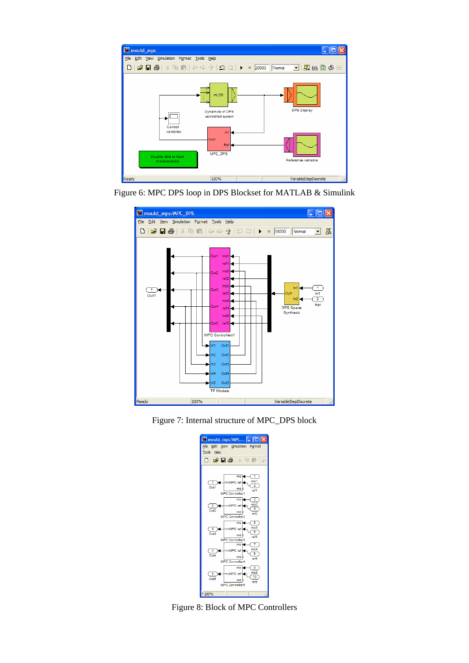









Figure 8: Block of MPC Controllers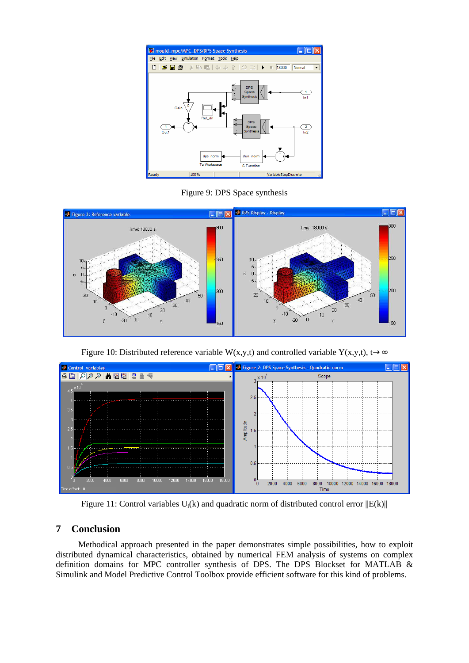

Figure 9: DPS Space synthesis



Figure 10: Distributed reference variable W(x,y,t) and controlled variable Y(x,y,t), t→∞



Figure 11: Control variables  $U_i(k)$  and quadratic norm of distributed control error  $||E(k)||$ 

## **7 Conclusion**

Methodical approach presented in the paper demonstrates simple possibilities, how to exploit distributed dynamical characteristics, obtained by numerical FEM analysis of systems on complex definition domains for MPC controller synthesis of DPS. The DPS Blockset for MATLAB & Simulink and Model Predictive Control Toolbox provide efficient software for this kind of problems.